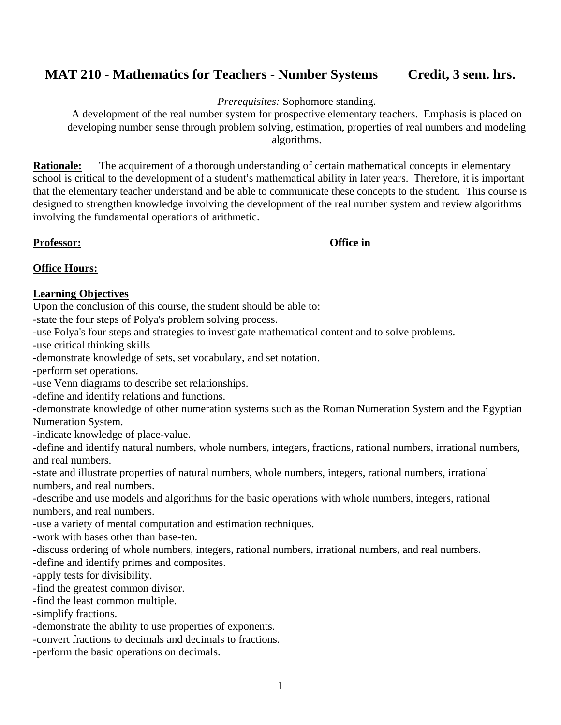# **MAT 210 - Mathematics for Teachers - Number Systems Credit, 3 sem. hrs.**

#### *Prerequisites:* Sophomore standing.

A development of the real number system for prospective elementary teachers. Emphasis is placed on developing number sense through problem solving, estimation, properties of real numbers and modeling algorithms.

**Rationale:** The acquirement of a thorough understanding of certain mathematical concepts in elementary school is critical to the development of a student's mathematical ability in later years. Therefore, it is important that the elementary teacher understand and be able to communicate these concepts to the student. This course is designed to strengthen knowledge involving the development of the real number system and review algorithms involving the fundamental operations of arithmetic.

**Professor: Office in**

#### **Office Hours:**

#### **Learning Objectives**

Upon the conclusion of this course, the student should be able to:

-state the four steps of Polya's problem solving process.

-use Polya's four steps and strategies to investigate mathematical content and to solve problems.

-use critical thinking skills

-demonstrate knowledge of sets, set vocabulary, and set notation.

-perform set operations.

-use Venn diagrams to describe set relationships.

-define and identify relations and functions.

-demonstrate knowledge of other numeration systems such as the Roman Numeration System and the Egyptian Numeration System.

-indicate knowledge of place-value.

-define and identify natural numbers, whole numbers, integers, fractions, rational numbers, irrational numbers, and real numbers.

-state and illustrate properties of natural numbers, whole numbers, integers, rational numbers, irrational numbers, and real numbers.

-describe and use models and algorithms for the basic operations with whole numbers, integers, rational numbers, and real numbers.

-use a variety of mental computation and estimation techniques.

-work with bases other than base-ten.

-discuss ordering of whole numbers, integers, rational numbers, irrational numbers, and real numbers.

-define and identify primes and composites.

-apply tests for divisibility.

-find the greatest common divisor.

-find the least common multiple.

-simplify fractions.

-demonstrate the ability to use properties of exponents.

-convert fractions to decimals and decimals to fractions.

-perform the basic operations on decimals.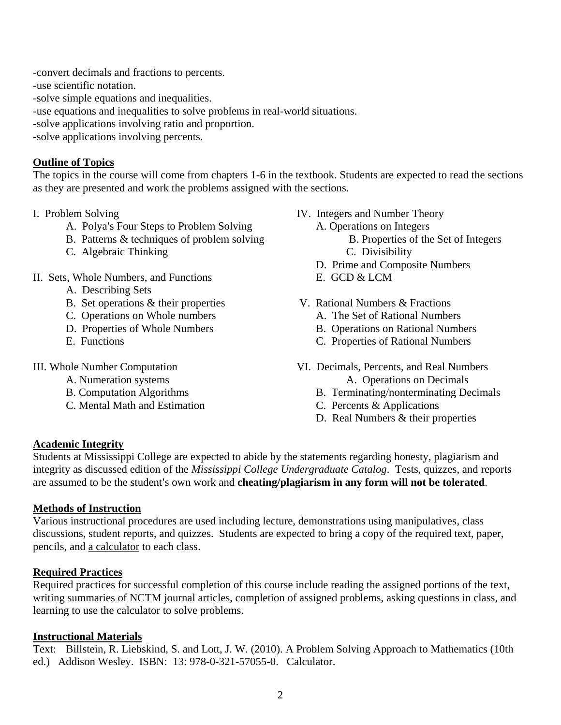-convert decimals and fractions to percents.

-use scientific notation.

-solve simple equations and inequalities.

-use equations and inequalities to solve problems in real-world situations.

- -solve applications involving ratio and proportion.
- -solve applications involving percents.

### **Outline of Topics**

The topics in the course will come from chapters 1-6 in the textbook. Students are expected to read the sections as they are presented and work the problems assigned with the sections.

- A. Polya's Four Steps to Problem Solving A. Operations on Integers
- B. Patterns & techniques of problem solving B. Properties of the Set of Integers
- C. Algebraic Thinking C. Divisibility

### II. Sets, Whole Numbers, and Functions E. GCD & LCM

- A. Describing Sets
- B. Set operations & their properties V. Rational Numbers & Fractions
- C. Operations on Whole numbers A. The Set of Rational Numbers
- 
- 

- 
- 
- C. Mental Math and Estimation C. Percents & Applications
- I. Problem Solving Theory IV. Integers and Number Theory
	- -
		-
	- D. Prime and Composite Numbers
	-
	- -
	- D. Properties of Whole Numbers B. Operations on Rational Numbers
	- E. Functions C. Properties of Rational Numbers
- III. Whole Number Computation VI. Decimals, Percents, and Real Numbers A. Numeration systems A. Operations on Decimals
	- B. Computation Algorithms B. Terminating/nonterminating Decimals
		-
		- D. Real Numbers & their properties

### **Academic Integrity**

Students at Mississippi College are expected to abide by the statements regarding honesty, plagiarism and integrity as discussed edition of the *Mississippi College Undergraduate Catalog*. Tests, quizzes, and reports are assumed to be the student's own work and **cheating/plagiarism in any form will not be tolerated**.

### **Methods of Instruction**

Various instructional procedures are used including lecture, demonstrations using manipulatives, class discussions, student reports, and quizzes. Students are expected to bring a copy of the required text, paper, pencils, and a calculator to each class.

### **Required Practices**

Required practices for successful completion of this course include reading the assigned portions of the text, writing summaries of NCTM journal articles, completion of assigned problems, asking questions in class, and learning to use the calculator to solve problems.

#### **Instructional Materials**

Text: Billstein, R. Liebskind, S. and Lott, J. W. (2010). A Problem Solving Approach to Mathematics (10th ed.) Addison Wesley. ISBN: 13: 978-0-321-57055-0. Calculator.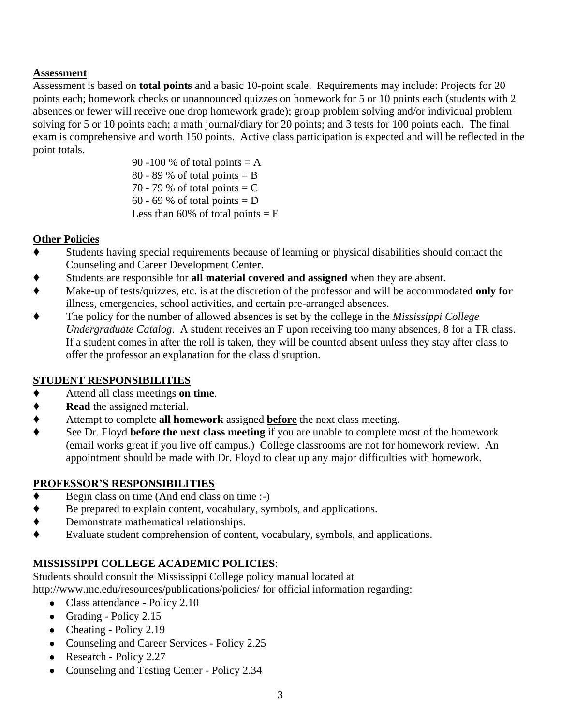### **Assessment**

Assessment is based on **total points** and a basic 10-point scale. Requirements may include: Projects for 20 points each; homework checks or unannounced quizzes on homework for 5 or 10 points each (students with 2 absences or fewer will receive one drop homework grade); group problem solving and/or individual problem solving for 5 or 10 points each; a math journal/diary for 20 points; and 3 tests for 100 points each. The final exam is comprehensive and worth 150 points. Active class participation is expected and will be reflected in the point totals.

90 -100 % of total points  $= A$ 80 - 89 % of total points  $=$  B 70 - 79 % of total points  $= C$ 60 - 69 % of total points  $= D$ Less than 60% of total points  $=$  F

### **Other Policies**

- Students having special requirements because of learning or physical disabilities should contact the Counseling and Career Development Center.
- Students are responsible for **all material covered and assigned** when they are absent.
- Make-up of tests/quizzes, etc. is at the discretion of the professor and will be accommodated **only for** illness, emergencies, school activities, and certain pre-arranged absences.
- The policy for the number of allowed absences is set by the college in the *Mississippi College Undergraduate Catalog*. A student receives an F upon receiving too many absences, 8 for a TR class. If a student comes in after the roll is taken, they will be counted absent unless they stay after class to offer the professor an explanation for the class disruption.

## **STUDENT RESPONSIBILITIES**

- Attend all class meetings **on time**.
- ◆ **Read** the assigned material.
- Attempt to complete **all homework** assigned **before** the next class meeting.
- See Dr. Floyd **before the next class meeting** if you are unable to complete most of the homework (email works great if you live off campus.) College classrooms are not for homework review. An appointment should be made with Dr. Floyd to clear up any major difficulties with homework.

# **PROFESSOR'S RESPONSIBILITIES**

- $\blacklozenge$  Begin class on time (And end class on time :-)
- $\bullet$  Be prepared to explain content, vocabulary, symbols, and applications.<br>
Demonstrate mathematical relationships.
- Demonstrate mathematical relationships.
- Evaluate student comprehension of content, vocabulary, symbols, and applications.

# **MISSISSIPPI COLLEGE ACADEMIC POLICIES**:

Students should consult the Mississippi College policy manual located at

http://www.mc.edu/resources/publications/policies/ for official information regarding:

- Class attendance Policy 2.10
- Grading Policy  $2.15$
- Cheating Policy 2.19
- Counseling and Career Services Policy 2.25
- Research Policy 2.27
- Counseling and Testing Center Policy 2.34